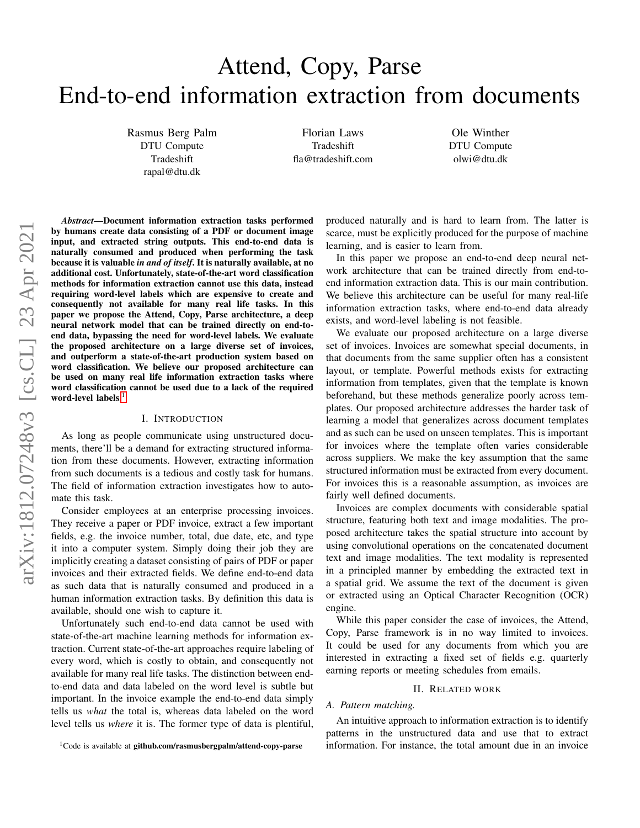# Attend, Copy, Parse End-to-end information extraction from documents

Rasmus Berg Palm DTU Compute Tradeshift rapal@dtu.dk

Florian Laws Tradeshift fla@tradeshift.com

Ole Winther DTU Compute olwi@dtu.dk

*Abstract*—Document information extraction tasks performed by humans create data consisting of a PDF or document image input, and extracted string outputs. This end-to-end data is naturally consumed and produced when performing the task because it is valuable *in and of itself*. It is naturally available, at no additional cost. Unfortunately, state-of-the-art word classification methods for information extraction cannot use this data, instead requiring word-level labels which are expensive to create and consequently not available for many real life tasks. In this paper we propose the Attend, Copy, Parse architecture, a deep neural network model that can be trained directly on end-toend data, bypassing the need for word-level labels. We evaluate the proposed architecture on a large diverse set of invoices, and outperform a state-of-the-art production system based on word classification. We believe our proposed architecture can be used on many real life information extraction tasks where word classification cannot be used due to a lack of the required word-level labels.<sup>[1](#page-0-0)</sup>

## I. INTRODUCTION

As long as people communicate using unstructured documents, there'll be a demand for extracting structured information from these documents. However, extracting information from such documents is a tedious and costly task for humans. The field of information extraction investigates how to automate this task.

Consider employees at an enterprise processing invoices. They receive a paper or PDF invoice, extract a few important fields, e.g. the invoice number, total, due date, etc, and type it into a computer system. Simply doing their job they are implicitly creating a dataset consisting of pairs of PDF or paper invoices and their extracted fields. We define end-to-end data as such data that is naturally consumed and produced in a human information extraction tasks. By definition this data is available, should one wish to capture it.

Unfortunately such end-to-end data cannot be used with state-of-the-art machine learning methods for information extraction. Current state-of-the-art approaches require labeling of every word, which is costly to obtain, and consequently not available for many real life tasks. The distinction between endto-end data and data labeled on the word level is subtle but important. In the invoice example the end-to-end data simply tells us *what* the total is, whereas data labeled on the word level tells us *where* it is. The former type of data is plentiful,

<span id="page-0-0"></span> $1$ Code is available at github.com/rasmusbergpalm/attend-copy-parse

produced naturally and is hard to learn from. The latter is scarce, must be explicitly produced for the purpose of machine learning, and is easier to learn from.

In this paper we propose an end-to-end deep neural network architecture that can be trained directly from end-toend information extraction data. This is our main contribution. We believe this architecture can be useful for many real-life information extraction tasks, where end-to-end data already exists, and word-level labeling is not feasible.

We evaluate our proposed architecture on a large diverse set of invoices. Invoices are somewhat special documents, in that documents from the same supplier often has a consistent layout, or template. Powerful methods exists for extracting information from templates, given that the template is known beforehand, but these methods generalize poorly across templates. Our proposed architecture addresses the harder task of learning a model that generalizes across document templates and as such can be used on unseen templates. This is important for invoices where the template often varies considerable across suppliers. We make the key assumption that the same structured information must be extracted from every document. For invoices this is a reasonable assumption, as invoices are fairly well defined documents.

Invoices are complex documents with considerable spatial structure, featuring both text and image modalities. The proposed architecture takes the spatial structure into account by using convolutional operations on the concatenated document text and image modalities. The text modality is represented in a principled manner by embedding the extracted text in a spatial grid. We assume the text of the document is given or extracted using an Optical Character Recognition (OCR) engine.

While this paper consider the case of invoices, the Attend, Copy, Parse framework is in no way limited to invoices. It could be used for any documents from which you are interested in extracting a fixed set of fields e.g. quarterly earning reports or meeting schedules from emails.

#### II. RELATED WORK

# *A. Pattern matching.*

An intuitive approach to information extraction is to identify patterns in the unstructured data and use that to extract information. For instance, the total amount due in an invoice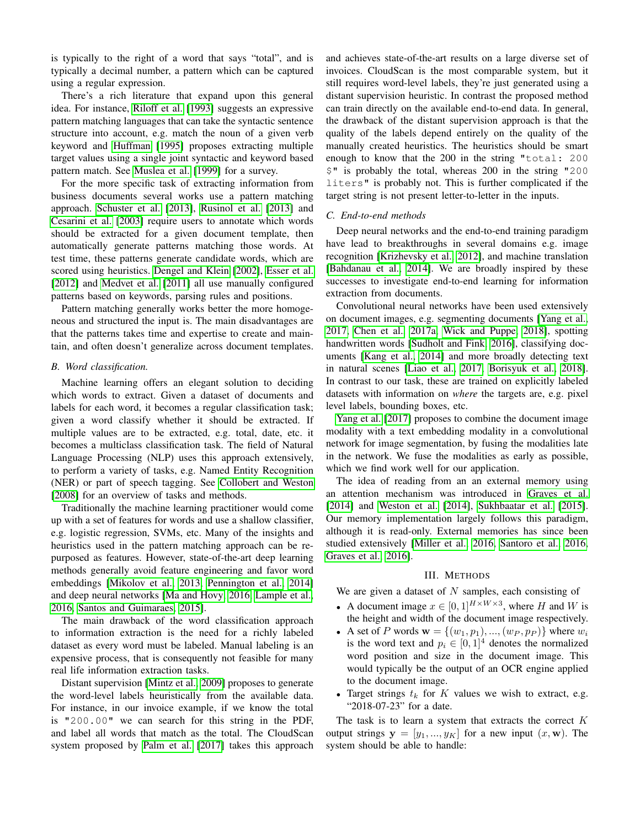is typically to the right of a word that says "total", and is typically a decimal number, a pattern which can be captured using a regular expression.

There's a rich literature that expand upon this general idea. For instance, [Riloff et al.](#page-7-0) [\[1993\]](#page-7-0) suggests an expressive pattern matching languages that can take the syntactic sentence structure into account, e.g. match the noun of a given verb keyword and [Huffman](#page-6-0) [\[1995\]](#page-6-0) proposes extracting multiple target values using a single joint syntactic and keyword based pattern match. See [Muslea et al.](#page-6-1) [\[1999\]](#page-6-1) for a survey.

For the more specific task of extracting information from business documents several works use a pattern matching approach. [Schuster et al.](#page-7-1) [\[2013\]](#page-7-1), [Rusinol et al.](#page-7-2) [\[2013\]](#page-7-2) and [Cesarini et al.](#page-6-2) [\[2003\]](#page-6-2) require users to annotate which words should be extracted for a given document template, then automatically generate patterns matching those words. At test time, these patterns generate candidate words, which are scored using heuristics. [Dengel and Klein](#page-6-3) [\[2002\]](#page-6-3), [Esser et al.](#page-6-4) [\[2012\]](#page-6-4) and [Medvet et al.](#page-6-5) [\[2011\]](#page-6-5) all use manually configured patterns based on keywords, parsing rules and positions.

Pattern matching generally works better the more homogeneous and structured the input is. The main disadvantages are that the patterns takes time and expertise to create and maintain, and often doesn't generalize across document templates.

# *B. Word classification.*

Machine learning offers an elegant solution to deciding which words to extract. Given a dataset of documents and labels for each word, it becomes a regular classification task; given a word classify whether it should be extracted. If multiple values are to be extracted, e.g. total, date, etc. it becomes a multiclass classification task. The field of Natural Language Processing (NLP) uses this approach extensively, to perform a variety of tasks, e.g. Named Entity Recognition (NER) or part of speech tagging. See [Collobert and Weston](#page-6-6) [\[2008\]](#page-6-6) for an overview of tasks and methods.

Traditionally the machine learning practitioner would come up with a set of features for words and use a shallow classifier, e.g. logistic regression, SVMs, etc. Many of the insights and heuristics used in the pattern matching approach can be repurposed as features. However, state-of-the-art deep learning methods generally avoid feature engineering and favor word embeddings [\[Mikolov et al., 2013,](#page-6-7) [Pennington et al., 2014\]](#page-7-3) and deep neural networks [\[Ma and Hovy, 2016,](#page-6-8) [Lample et al.,](#page-6-9) [2016,](#page-6-9) [Santos and Guimaraes, 2015\]](#page-7-4).

The main drawback of the word classification approach to information extraction is the need for a richly labeled dataset as every word must be labeled. Manual labeling is an expensive process, that is consequently not feasible for many real life information extraction tasks.

Distant supervision [\[Mintz et al., 2009\]](#page-6-10) proposes to generate the word-level labels heuristically from the available data. For instance, in our invoice example, if we know the total is "200.00" we can search for this string in the PDF, and label all words that match as the total. The CloudScan system proposed by [Palm et al.](#page-6-11) [\[2017\]](#page-6-11) takes this approach

and achieves state-of-the-art results on a large diverse set of invoices. CloudScan is the most comparable system, but it still requires word-level labels, they're just generated using a distant supervision heuristic. In contrast the proposed method can train directly on the available end-to-end data. In general, the drawback of the distant supervision approach is that the quality of the labels depend entirely on the quality of the manually created heuristics. The heuristics should be smart enough to know that the 200 in the string "total: 200 \$" is probably the total, whereas 200 in the string "200 liters" is probably not. This is further complicated if the target string is not present letter-to-letter in the inputs.

# *C. End-to-end methods*

Deep neural networks and the end-to-end training paradigm have lead to breakthroughs in several domains e.g. image recognition [\[Krizhevsky et al., 2012\]](#page-6-12), and machine translation [\[Bahdanau et al., 2014\]](#page-6-13). We are broadly inspired by these successes to investigate end-to-end learning for information extraction from documents.

Convolutional neural networks have been used extensively on document images, e.g. segmenting documents [\[Yang et al.,](#page-7-5) [2017,](#page-7-5) [Chen et al., 2017a,](#page-6-14) [Wick and Puppe, 2018\]](#page-7-6), spotting handwritten words [\[Sudholt and Fink, 2016\]](#page-7-7), classifying documents [\[Kang et al., 2014\]](#page-6-15) and more broadly detecting text in natural scenes [\[Liao et al., 2017,](#page-6-16) [Borisyuk et al., 2018\]](#page-6-17). In contrast to our task, these are trained on explicitly labeled datasets with information on *where* the targets are, e.g. pixel level labels, bounding boxes, etc.

[Yang et al.](#page-7-5) [\[2017\]](#page-7-5) proposes to combine the document image modality with a text embedding modality in a convolutional network for image segmentation, by fusing the modalities late in the network. We fuse the modalities as early as possible, which we find work well for our application.

The idea of reading from an an external memory using an attention mechanism was introduced in [Graves et al.](#page-6-18) [\[2014\]](#page-6-18) and [Weston et al.](#page-7-8) [\[2014\]](#page-7-8), [Sukhbaatar et al.](#page-7-9) [\[2015\]](#page-7-9). Our memory implementation largely follows this paradigm, although it is read-only. External memories has since been studied extensively [\[Miller et al., 2016,](#page-6-19) [Santoro et al., 2016,](#page-7-10) [Graves et al., 2016\]](#page-6-20).

## III. METHODS

We are given a dataset of  $N$  samples, each consisting of

- A document image  $x \in [0,1]^{H \times W \times 3}$ , where H and W is the height and width of the document image respectively.
- A set of P words  $\mathbf{w} = \{(w_1, p_1), ..., (w_P, p_P)\}\$  where  $w_i$ is the word text and  $p_i \in [0, 1]^4$  denotes the normalized word position and size in the document image. This would typically be the output of an OCR engine applied to the document image.
- Target strings  $t_k$  for K values we wish to extract, e.g. "2018-07-23" for a date.

The task is to learn a system that extracts the correct  $K$ output strings  $y = [y_1, ..., y_K]$  for a new input  $(x, w)$ . The system should be able to handle: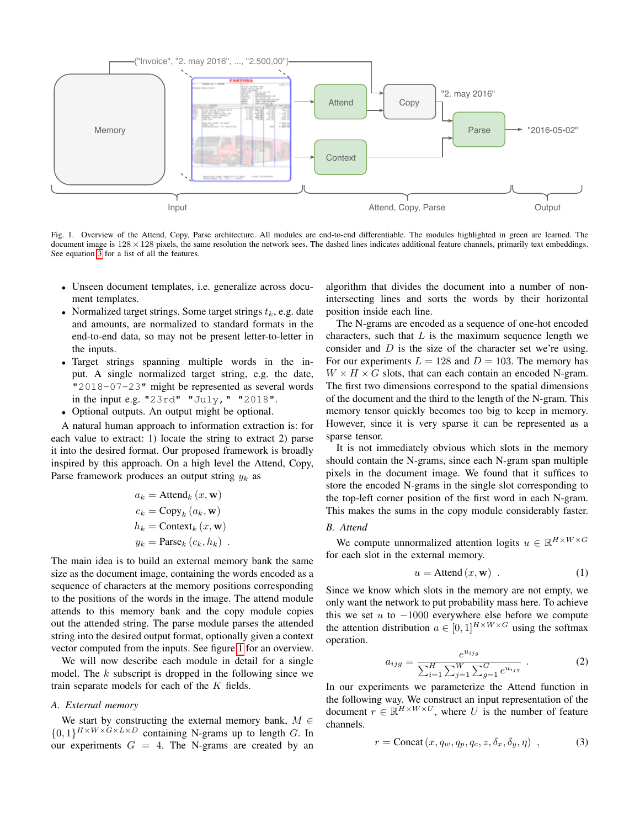

<span id="page-2-1"></span>Fig. 1. Overview of the Attend, Copy, Parse architecture. All modules are end-to-end differentiable. The modules highlighted in green are learned. The document image is  $128 \times 128$  pixels, the same resolution the network sees. The dashed lines indicates additional feature channels, primarily text embeddings. See equation [3](#page-2-0) for a list of all the features.

- Unseen document templates, i.e. generalize across document templates.
- Normalized target strings. Some target strings  $t_k$ , e.g. date and amounts, are normalized to standard formats in the end-to-end data, so may not be present letter-to-letter in the inputs.
- Target strings spanning multiple words in the input. A single normalized target string, e.g. the date, "2018-07-23" might be represented as several words in the input e.g. "23rd" "July," "2018".
- Optional outputs. An output might be optional.

A natural human approach to information extraction is: for each value to extract: 1) locate the string to extract 2) parse it into the desired format. Our proposed framework is broadly inspired by this approach. On a high level the Attend, Copy, Parse framework produces an output string  $y_k$  as

$$
a_k = \text{Attend}_k (x, \mathbf{w})
$$
  
\n
$$
c_k = \text{Copy}_k (a_k, \mathbf{w})
$$
  
\n
$$
h_k = \text{Context}_k (x, \mathbf{w})
$$
  
\n
$$
y_k = \text{Parse}_k (c_k, h_k) .
$$

The main idea is to build an external memory bank the same size as the document image, containing the words encoded as a sequence of characters at the memory positions corresponding to the positions of the words in the image. The attend module attends to this memory bank and the copy module copies out the attended string. The parse module parses the attended string into the desired output format, optionally given a context vector computed from the inputs. See figure [1](#page-2-1) for an overview.

We will now describe each module in detail for a single model. The  $k$  subscript is dropped in the following since we train separate models for each of the K fields.

#### *A. External memory*

We start by constructing the external memory bank,  $M \in$  ${0,1}^{H\times W\times G\times L\times D}$  containing N-grams up to length G. In our experiments  $G = 4$ . The N-grams are created by an algorithm that divides the document into a number of nonintersecting lines and sorts the words by their horizontal position inside each line.

The N-grams are encoded as a sequence of one-hot encoded characters, such that  $L$  is the maximum sequence length we consider and  $D$  is the size of the character set we're using. For our experiments  $L = 128$  and  $D = 103$ . The memory has  $W \times H \times G$  slots, that can each contain an encoded N-gram. The first two dimensions correspond to the spatial dimensions of the document and the third to the length of the N-gram. This memory tensor quickly becomes too big to keep in memory. However, since it is very sparse it can be represented as a sparse tensor.

It is not immediately obvious which slots in the memory should contain the N-grams, since each N-gram span multiple pixels in the document image. We found that it suffices to store the encoded N-grams in the single slot corresponding to the top-left corner position of the first word in each N-gram. This makes the sums in the copy module considerably faster.

# *B. Attend*

We compute unnormalized attention logits  $u \in \mathbb{R}^{H \times W \times G}$ for each slot in the external memory.

<span id="page-2-2"></span>
$$
u = \text{Attend}(x, \mathbf{w}) \tag{1}
$$

Since we know which slots in the memory are not empty, we only want the network to put probability mass here. To achieve this we set  $u$  to  $-1000$  everywhere else before we compute the attention distribution  $a \in [0, 1]^{H \times W \times G}$  using the softmax operation.

$$
a_{ijg} = \frac{e^{u_{ijg}}}{\sum_{i=1}^{H} \sum_{j=1}^{W} \sum_{g=1}^{G} e^{u_{ijg}}}.
$$
 (2)

In our experiments we parameterize the Attend function in the following way. We construct an input representation of the document  $r \in \mathbb{R}^{H \times W \times U}$ , where U is the number of feature channels.

<span id="page-2-0"></span>
$$
r = \text{Concat}(x, q_w, q_p, q_c, z, \delta_x, \delta_y, \eta) , \qquad (3)
$$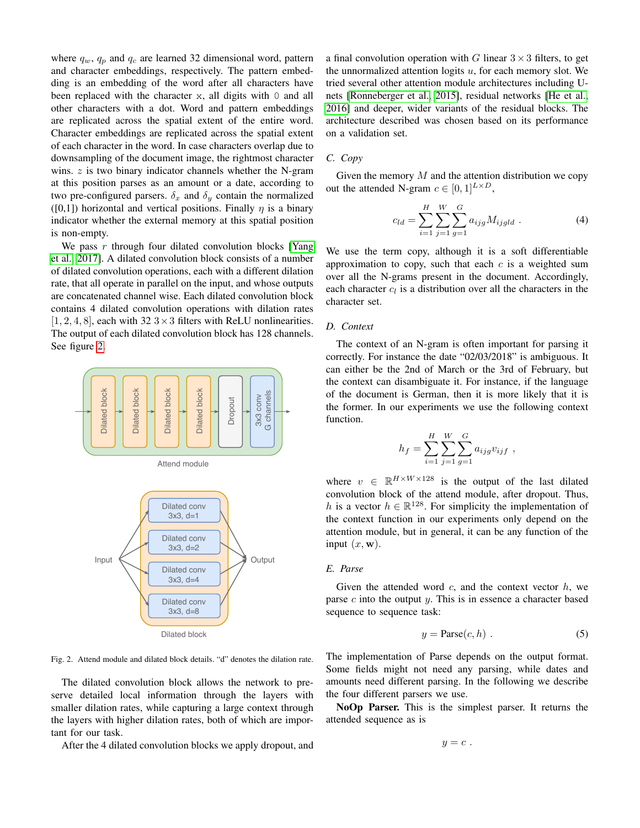where  $q_w$ ,  $q_p$  and  $q_c$  are learned 32 dimensional word, pattern and character embeddings, respectively. The pattern embedding is an embedding of the word after all characters have been replaced with the character  $x$ , all digits with 0 and all other characters with a dot. Word and pattern embeddings are replicated across the spatial extent of the entire word. Character embeddings are replicated across the spatial extent of each character in the word. In case characters overlap due to downsampling of the document image, the rightmost character wins.  $z$  is two binary indicator channels whether the N-gram at this position parses as an amount or a date, according to two pre-configured parsers.  $\delta_x$  and  $\delta_y$  contain the normalized ([0,1]) horizontal and vertical positions. Finally  $\eta$  is a binary indicator whether the external memory at this spatial position is non-empty.

We pass  $r$  through four dilated convolution blocks [\[Yang](#page-7-5) [et al., 2017\]](#page-7-5). A dilated convolution block consists of a number of dilated convolution operations, each with a different dilation rate, that all operate in parallel on the input, and whose outputs are concatenated channel wise. Each dilated convolution block contains 4 dilated convolution operations with dilation rates  $[1, 2, 4, 8]$ , each with 32 3 × 3 filters with ReLU nonlinearities. The output of each dilated convolution block has 128 channels. See figure [2.](#page-3-0)



<span id="page-3-0"></span>Fig. 2. Attend module and dilated block details. "d" denotes the dilation rate.

The dilated convolution block allows the network to preserve detailed local information through the layers with smaller dilation rates, while capturing a large context through the layers with higher dilation rates, both of which are important for our task.

After the 4 dilated convolution blocks we apply dropout, and

a final convolution operation with G linear  $3 \times 3$  filters, to get the unnormalized attention logits  $u$ , for each memory slot. We tried several other attention module architectures including Unets [\[Ronneberger et al., 2015\]](#page-7-11), residual networks [\[He et al.,](#page-6-21) [2016\]](#page-6-21) and deeper, wider variants of the residual blocks. The architecture described was chosen based on its performance on a validation set.

#### *C. Copy*

Given the memory  $M$  and the attention distribution we copy out the attended N-gram  $c \in [0,1]^{L \times D}$ ,

$$
c_{ld} = \sum_{i=1}^{H} \sum_{j=1}^{W} \sum_{g=1}^{G} a_{ijg} M_{ijgld} .
$$
 (4)

We use the term copy, although it is a soft differentiable approximation to copy, such that each  $c$  is a weighted sum over all the N-grams present in the document. Accordingly, each character  $c_l$  is a distribution over all the characters in the character set.

# *D. Context*

The context of an N-gram is often important for parsing it correctly. For instance the date "02/03/2018" is ambiguous. It can either be the 2nd of March or the 3rd of February, but the context can disambiguate it. For instance, if the language of the document is German, then it is more likely that it is the former. In our experiments we use the following context function.

$$
h_f = \sum_{i=1}^{H} \sum_{j=1}^{W} \sum_{g=1}^{G} a_{ijg} v_{ijf} ,
$$

where  $v \in \mathbb{R}^{H \times W \times 128}$  is the output of the last dilated convolution block of the attend module, after dropout. Thus, h is a vector  $h \in \mathbb{R}^{128}$ . For simplicity the implementation of the context function in our experiments only depend on the attention module, but in general, it can be any function of the input  $(x, \mathbf{w})$ .

# *E. Parse*

Given the attended word  $c$ , and the context vector  $h$ , we parse  $c$  into the output  $y$ . This is in essence a character based sequence to sequence task:

$$
y = \text{Parse}(c, h) \tag{5}
$$

The implementation of Parse depends on the output format. Some fields might not need any parsing, while dates and amounts need different parsing. In the following we describe the four different parsers we use.

NoOp Parser. This is the simplest parser. It returns the attended sequence as is

$$
y=c.
$$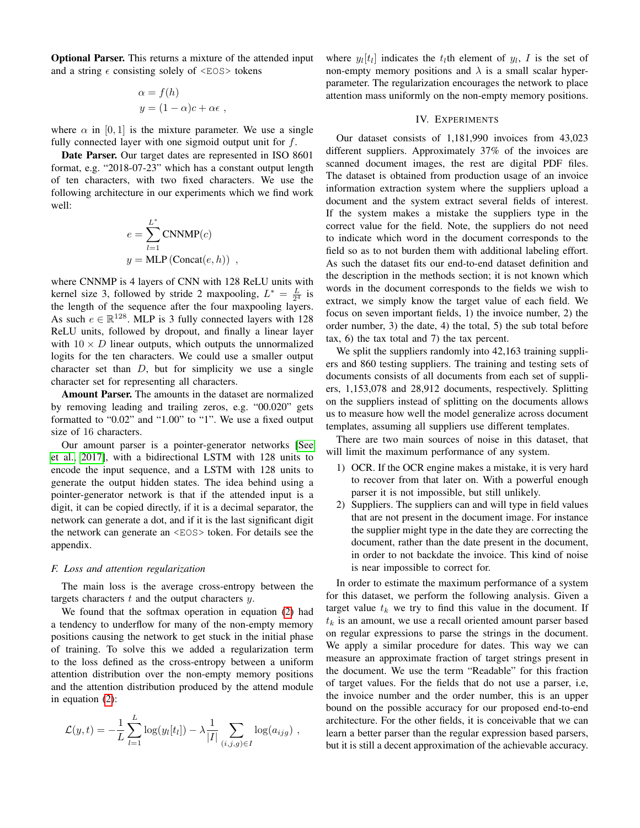Optional Parser. This returns a mixture of the attended input and a string  $\epsilon$  consisting solely of  $\langle EOS \rangle$  tokens

$$
\alpha = f(h)
$$
  

$$
y = (1 - \alpha)c + \alpha \epsilon ,
$$

where  $\alpha$  in [0, 1] is the mixture parameter. We use a single fully connected layer with one sigmoid output unit for  $f$ .

Date Parser. Our target dates are represented in ISO 8601 format, e.g. "2018-07-23" which has a constant output length of ten characters, with two fixed characters. We use the following architecture in our experiments which we find work well:

$$
e = \sum_{l=1}^{L^*} \text{CNNMP}(c)
$$
  

$$
y = \text{MLP}(\text{Concat}(e, h))
$$
,

where CNNMP is 4 layers of CNN with 128 ReLU units with kernel size 3, followed by stride 2 maxpooling,  $L^* = \frac{L}{2^4}$  is the length of the sequence after the four maxpooling layers. As such  $e \in \mathbb{R}^{128}$ . MLP is 3 fully connected layers with 128 ReLU units, followed by dropout, and finally a linear layer with  $10 \times D$  linear outputs, which outputs the unnormalized logits for the ten characters. We could use a smaller output character set than  $D$ , but for simplicity we use a single character set for representing all characters.

Amount Parser. The amounts in the dataset are normalized by removing leading and trailing zeros, e.g. "00.020" gets formatted to "0.02" and "1.00" to "1". We use a fixed output size of 16 characters.

Our amount parser is a pointer-generator networks [\[See](#page-7-12) [et al., 2017\]](#page-7-12), with a bidirectional LSTM with 128 units to encode the input sequence, and a LSTM with 128 units to generate the output hidden states. The idea behind using a pointer-generator network is that if the attended input is a digit, it can be copied directly, if it is a decimal separator, the network can generate a dot, and if it is the last significant digit the network can generate an <EOS> token. For details see the appendix.

## *F. Loss and attention regularization*

The main loss is the average cross-entropy between the targets characters  $t$  and the output characters  $y$ .

We found that the softmax operation in equation [\(2\)](#page-2-2) had a tendency to underflow for many of the non-empty memory positions causing the network to get stuck in the initial phase of training. To solve this we added a regularization term to the loss defined as the cross-entropy between a uniform attention distribution over the non-empty memory positions and the attention distribution produced by the attend module in equation [\(2\)](#page-2-2):

$$
\mathcal{L}(y,t) = -\frac{1}{L} \sum_{l=1}^{L} \log(y_l[t_l]) - \lambda \frac{1}{|I|} \sum_{(i,j,g) \in I} \log(a_{ijg}),
$$

where  $y_l[t_l]$  indicates the  $t_l$ th element of  $y_l$ , I is the set of non-empty memory positions and  $\lambda$  is a small scalar hyperparameter. The regularization encourages the network to place attention mass uniformly on the non-empty memory positions.

# IV. EXPERIMENTS

Our dataset consists of 1,181,990 invoices from 43,023 different suppliers. Approximately 37% of the invoices are scanned document images, the rest are digital PDF files. The dataset is obtained from production usage of an invoice information extraction system where the suppliers upload a document and the system extract several fields of interest. If the system makes a mistake the suppliers type in the correct value for the field. Note, the suppliers do not need to indicate which word in the document corresponds to the field so as to not burden them with additional labeling effort. As such the dataset fits our end-to-end dataset definition and the description in the methods section; it is not known which words in the document corresponds to the fields we wish to extract, we simply know the target value of each field. We focus on seven important fields, 1) the invoice number, 2) the order number, 3) the date, 4) the total, 5) the sub total before tax, 6) the tax total and 7) the tax percent.

We split the suppliers randomly into 42,163 training suppliers and 860 testing suppliers. The training and testing sets of documents consists of all documents from each set of suppliers, 1,153,078 and 28,912 documents, respectively. Splitting on the suppliers instead of splitting on the documents allows us to measure how well the model generalize across document templates, assuming all suppliers use different templates.

There are two main sources of noise in this dataset, that will limit the maximum performance of any system.

- 1) OCR. If the OCR engine makes a mistake, it is very hard to recover from that later on. With a powerful enough parser it is not impossible, but still unlikely.
- 2) Suppliers. The suppliers can and will type in field values that are not present in the document image. For instance the supplier might type in the date they are correcting the document, rather than the date present in the document, in order to not backdate the invoice. This kind of noise is near impossible to correct for.

In order to estimate the maximum performance of a system for this dataset, we perform the following analysis. Given a target value  $t_k$  we try to find this value in the document. If  $t_k$  is an amount, we use a recall oriented amount parser based on regular expressions to parse the strings in the document. We apply a similar procedure for dates. This way we can measure an approximate fraction of target strings present in the document. We use the term "Readable" for this fraction of target values. For the fields that do not use a parser, i.e, the invoice number and the order number, this is an upper bound on the possible accuracy for our proposed end-to-end architecture. For the other fields, it is conceivable that we can learn a better parser than the regular expression based parsers, but it is still a decent approximation of the achievable accuracy.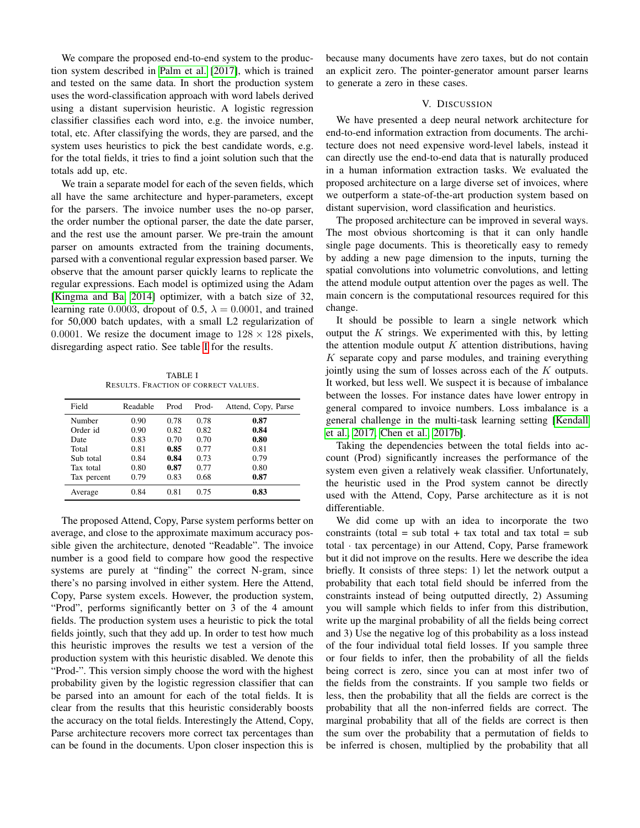We compare the proposed end-to-end system to the production system described in [Palm et al.](#page-6-11) [\[2017\]](#page-6-11), which is trained and tested on the same data. In short the production system uses the word-classification approach with word labels derived using a distant supervision heuristic. A logistic regression classifier classifies each word into, e.g. the invoice number, total, etc. After classifying the words, they are parsed, and the system uses heuristics to pick the best candidate words, e.g. for the total fields, it tries to find a joint solution such that the totals add up, etc.

We train a separate model for each of the seven fields, which all have the same architecture and hyper-parameters, except for the parsers. The invoice number uses the no-op parser, the order number the optional parser, the date the date parser, and the rest use the amount parser. We pre-train the amount parser on amounts extracted from the training documents, parsed with a conventional regular expression based parser. We observe that the amount parser quickly learns to replicate the regular expressions. Each model is optimized using the Adam [\[Kingma and Ba, 2014\]](#page-6-22) optimizer, with a batch size of 32, learning rate 0.0003, dropout of 0.5,  $\lambda = 0.0001$ , and trained for 50,000 batch updates, with a small L2 regularization of 0.0001. We resize the document image to  $128 \times 128$  pixels, disregarding aspect ratio. See table [I](#page-5-0) for the results.

TABLE I RESULTS. FRACTION OF CORRECT VALUES.

<span id="page-5-0"></span>

| Field       | Readable | Prod | Prod- | Attend, Copy, Parse |
|-------------|----------|------|-------|---------------------|
| Number      | 0.90     | 0.78 | 0.78  | 0.87                |
| Order id    | 0.90     | 0.82 | 0.82  | 0.84                |
| Date        | 0.83     | 0.70 | 0.70  | 0.80                |
| Total       | 0.81     | 0.85 | 0.77  | 0.81                |
| Sub total   | 0.84     | 0.84 | 0.73  | 0.79                |
| Tax total   | 0.80     | 0.87 | 0.77  | 0.80                |
| Tax percent | 0.79     | 0.83 | 0.68  | 0.87                |
| Average     | 0.84     | 0.81 | 0.75  | 0.83                |

The proposed Attend, Copy, Parse system performs better on average, and close to the approximate maximum accuracy possible given the architecture, denoted "Readable". The invoice number is a good field to compare how good the respective systems are purely at "finding" the correct N-gram, since there's no parsing involved in either system. Here the Attend, Copy, Parse system excels. However, the production system, "Prod", performs significantly better on 3 of the 4 amount fields. The production system uses a heuristic to pick the total fields jointly, such that they add up. In order to test how much this heuristic improves the results we test a version of the production system with this heuristic disabled. We denote this "Prod-". This version simply choose the word with the highest probability given by the logistic regression classifier that can be parsed into an amount for each of the total fields. It is clear from the results that this heuristic considerably boosts the accuracy on the total fields. Interestingly the Attend, Copy, Parse architecture recovers more correct tax percentages than can be found in the documents. Upon closer inspection this is

because many documents have zero taxes, but do not contain an explicit zero. The pointer-generator amount parser learns to generate a zero in these cases.

## V. DISCUSSION

We have presented a deep neural network architecture for end-to-end information extraction from documents. The architecture does not need expensive word-level labels, instead it can directly use the end-to-end data that is naturally produced in a human information extraction tasks. We evaluated the proposed architecture on a large diverse set of invoices, where we outperform a state-of-the-art production system based on distant supervision, word classification and heuristics.

The proposed architecture can be improved in several ways. The most obvious shortcoming is that it can only handle single page documents. This is theoretically easy to remedy by adding a new page dimension to the inputs, turning the spatial convolutions into volumetric convolutions, and letting the attend module output attention over the pages as well. The main concern is the computational resources required for this change.

It should be possible to learn a single network which output the  $K$  strings. We experimented with this, by letting the attention module output  $K$  attention distributions, having  $K$  separate copy and parse modules, and training everything jointly using the sum of losses across each of the K outputs. It worked, but less well. We suspect it is because of imbalance between the losses. For instance dates have lower entropy in general compared to invoice numbers. Loss imbalance is a general challenge in the multi-task learning setting [\[Kendall](#page-6-23) [et al., 2017,](#page-6-23) [Chen et al., 2017b\]](#page-6-24).

Taking the dependencies between the total fields into account (Prod) significantly increases the performance of the system even given a relatively weak classifier. Unfortunately, the heuristic used in the Prod system cannot be directly used with the Attend, Copy, Parse architecture as it is not differentiable.

We did come up with an idea to incorporate the two constraints (total = sub total + tax total and tax total = sub total · tax percentage) in our Attend, Copy, Parse framework but it did not improve on the results. Here we describe the idea briefly. It consists of three steps: 1) let the network output a probability that each total field should be inferred from the constraints instead of being outputted directly, 2) Assuming you will sample which fields to infer from this distribution, write up the marginal probability of all the fields being correct and 3) Use the negative log of this probability as a loss instead of the four individual total field losses. If you sample three or four fields to infer, then the probability of all the fields being correct is zero, since you can at most infer two of the fields from the constraints. If you sample two fields or less, then the probability that all the fields are correct is the probability that all the non-inferred fields are correct. The marginal probability that all of the fields are correct is then the sum over the probability that a permutation of fields to be inferred is chosen, multiplied by the probability that all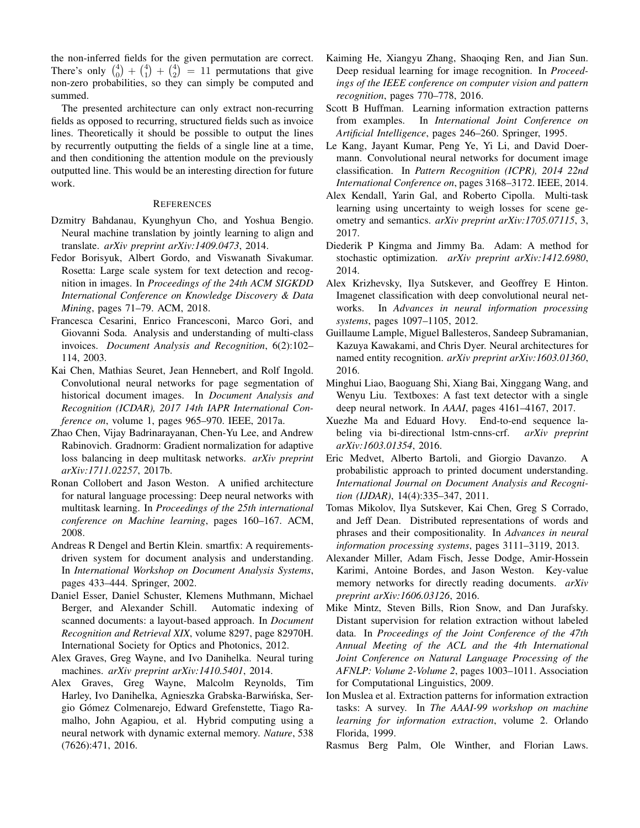the non-inferred fields for the given permutation are correct. There's only  $\binom{4}{0} + \binom{4}{1} + \binom{4}{2} = 11$  permutations that give non-zero probabilities, so they can simply be computed and summed.

The presented architecture can only extract non-recurring fields as opposed to recurring, structured fields such as invoice lines. Theoretically it should be possible to output the lines by recurrently outputting the fields of a single line at a time, and then conditioning the attention module on the previously outputted line. This would be an interesting direction for future work.

#### REFERENCES

- <span id="page-6-13"></span>Dzmitry Bahdanau, Kyunghyun Cho, and Yoshua Bengio. Neural machine translation by jointly learning to align and translate. *arXiv preprint arXiv:1409.0473*, 2014.
- <span id="page-6-17"></span>Fedor Borisyuk, Albert Gordo, and Viswanath Sivakumar. Rosetta: Large scale system for text detection and recognition in images. In *Proceedings of the 24th ACM SIGKDD International Conference on Knowledge Discovery & Data Mining*, pages 71–79. ACM, 2018.
- <span id="page-6-2"></span>Francesca Cesarini, Enrico Francesconi, Marco Gori, and Giovanni Soda. Analysis and understanding of multi-class invoices. *Document Analysis and Recognition*, 6(2):102– 114, 2003.
- <span id="page-6-14"></span>Kai Chen, Mathias Seuret, Jean Hennebert, and Rolf Ingold. Convolutional neural networks for page segmentation of historical document images. In *Document Analysis and Recognition (ICDAR), 2017 14th IAPR International Conference on*, volume 1, pages 965–970. IEEE, 2017a.
- <span id="page-6-24"></span>Zhao Chen, Vijay Badrinarayanan, Chen-Yu Lee, and Andrew Rabinovich. Gradnorm: Gradient normalization for adaptive loss balancing in deep multitask networks. *arXiv preprint arXiv:1711.02257*, 2017b.
- <span id="page-6-6"></span>Ronan Collobert and Jason Weston. A unified architecture for natural language processing: Deep neural networks with multitask learning. In *Proceedings of the 25th international conference on Machine learning*, pages 160–167. ACM, 2008.
- <span id="page-6-3"></span>Andreas R Dengel and Bertin Klein. smartfix: A requirementsdriven system for document analysis and understanding. In *International Workshop on Document Analysis Systems*, pages 433–444. Springer, 2002.
- <span id="page-6-4"></span>Daniel Esser, Daniel Schuster, Klemens Muthmann, Michael Berger, and Alexander Schill. Automatic indexing of scanned documents: a layout-based approach. In *Document Recognition and Retrieval XIX*, volume 8297, page 82970H. International Society for Optics and Photonics, 2012.
- <span id="page-6-18"></span>Alex Graves, Greg Wayne, and Ivo Danihelka. Neural turing machines. *arXiv preprint arXiv:1410.5401*, 2014.
- <span id="page-6-20"></span>Alex Graves, Greg Wayne, Malcolm Reynolds, Tim Harley, Ivo Danihelka, Agnieszka Grabska-Barwinska, Ser- ´ gio Gómez Colmenarejo, Edward Grefenstette, Tiago Ramalho, John Agapiou, et al. Hybrid computing using a neural network with dynamic external memory. *Nature*, 538 (7626):471, 2016.
- <span id="page-6-21"></span>Kaiming He, Xiangyu Zhang, Shaoqing Ren, and Jian Sun. Deep residual learning for image recognition. In *Proceedings of the IEEE conference on computer vision and pattern recognition*, pages 770–778, 2016.
- <span id="page-6-0"></span>Scott B Huffman. Learning information extraction patterns from examples. In *International Joint Conference on Artificial Intelligence*, pages 246–260. Springer, 1995.
- <span id="page-6-15"></span>Le Kang, Jayant Kumar, Peng Ye, Yi Li, and David Doermann. Convolutional neural networks for document image classification. In *Pattern Recognition (ICPR), 2014 22nd International Conference on*, pages 3168–3172. IEEE, 2014.
- <span id="page-6-23"></span>Alex Kendall, Yarin Gal, and Roberto Cipolla. Multi-task learning using uncertainty to weigh losses for scene geometry and semantics. *arXiv preprint arXiv:1705.07115*, 3, 2017.
- <span id="page-6-22"></span>Diederik P Kingma and Jimmy Ba. Adam: A method for stochastic optimization. *arXiv preprint arXiv:1412.6980*, 2014.
- <span id="page-6-12"></span>Alex Krizhevsky, Ilya Sutskever, and Geoffrey E Hinton. Imagenet classification with deep convolutional neural networks. In *Advances in neural information processing systems*, pages 1097–1105, 2012.
- <span id="page-6-9"></span>Guillaume Lample, Miguel Ballesteros, Sandeep Subramanian, Kazuya Kawakami, and Chris Dyer. Neural architectures for named entity recognition. *arXiv preprint arXiv:1603.01360*, 2016.
- <span id="page-6-16"></span>Minghui Liao, Baoguang Shi, Xiang Bai, Xinggang Wang, and Wenyu Liu. Textboxes: A fast text detector with a single deep neural network. In *AAAI*, pages 4161–4167, 2017.
- <span id="page-6-8"></span>Xuezhe Ma and Eduard Hovy. End-to-end sequence labeling via bi-directional lstm-cnns-crf. *arXiv preprint arXiv:1603.01354*, 2016.
- <span id="page-6-5"></span>Eric Medvet, Alberto Bartoli, and Giorgio Davanzo. A probabilistic approach to printed document understanding. *International Journal on Document Analysis and Recognition (IJDAR)*, 14(4):335–347, 2011.
- <span id="page-6-7"></span>Tomas Mikolov, Ilya Sutskever, Kai Chen, Greg S Corrado, and Jeff Dean. Distributed representations of words and phrases and their compositionality. In *Advances in neural information processing systems*, pages 3111–3119, 2013.
- <span id="page-6-19"></span>Alexander Miller, Adam Fisch, Jesse Dodge, Amir-Hossein Karimi, Antoine Bordes, and Jason Weston. Key-value memory networks for directly reading documents. *arXiv preprint arXiv:1606.03126*, 2016.
- <span id="page-6-10"></span>Mike Mintz, Steven Bills, Rion Snow, and Dan Jurafsky. Distant supervision for relation extraction without labeled data. In *Proceedings of the Joint Conference of the 47th Annual Meeting of the ACL and the 4th International Joint Conference on Natural Language Processing of the AFNLP: Volume 2-Volume 2*, pages 1003–1011. Association for Computational Linguistics, 2009.
- <span id="page-6-1"></span>Ion Muslea et al. Extraction patterns for information extraction tasks: A survey. In *The AAAI-99 workshop on machine learning for information extraction*, volume 2. Orlando Florida, 1999.
- <span id="page-6-11"></span>Rasmus Berg Palm, Ole Winther, and Florian Laws.